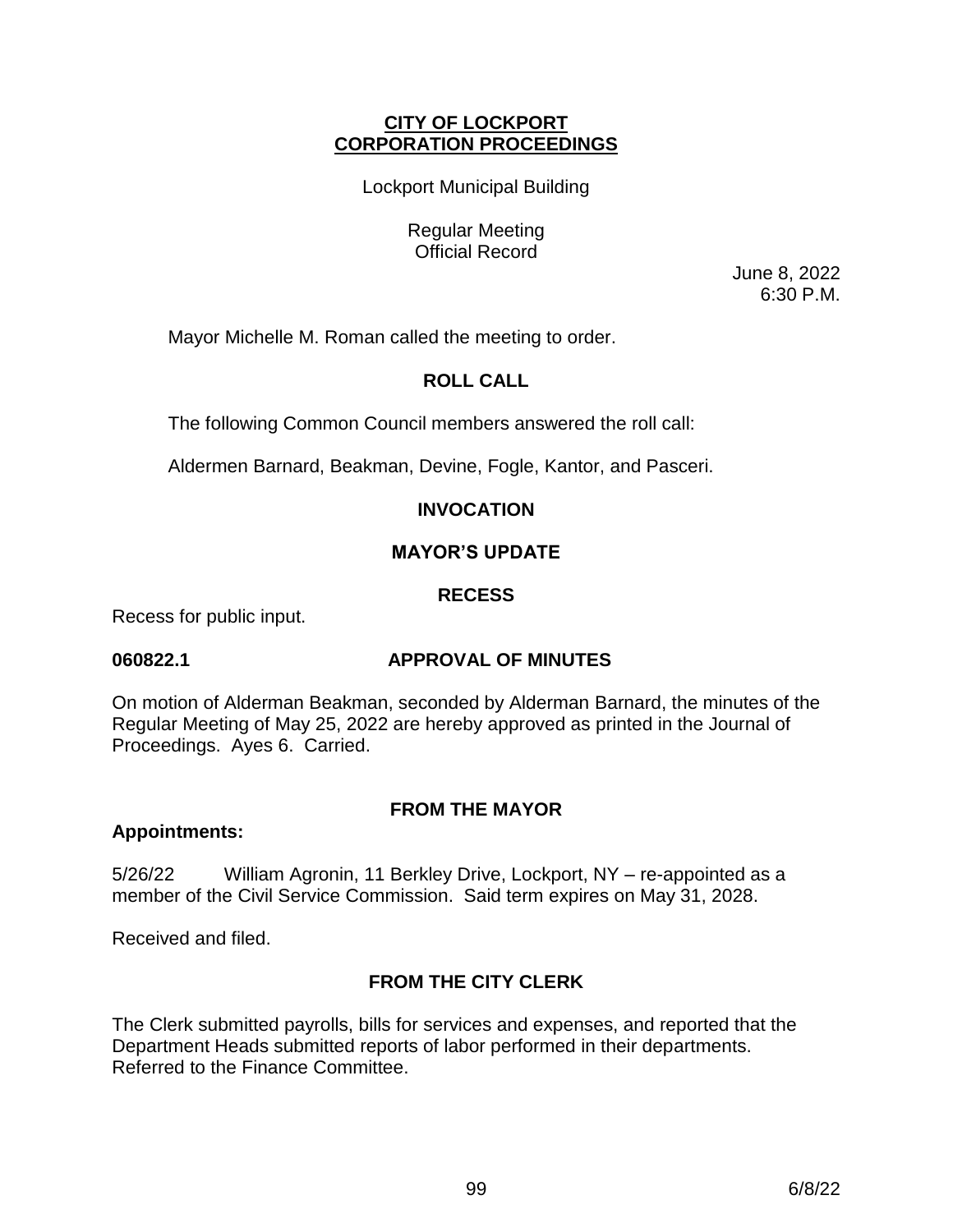# **CITY OF LOCKPORT CORPORATION PROCEEDINGS**

Lockport Municipal Building

Regular Meeting Official Record

> June 8, 2022 6:30 P.M.

Mayor Michelle M. Roman called the meeting to order.

# **ROLL CALL**

The following Common Council members answered the roll call:

Aldermen Barnard, Beakman, Devine, Fogle, Kantor, and Pasceri.

# **INVOCATION**

# **MAYOR'S UPDATE**

# **RECESS**

Recess for public input.

# **060822.1 APPROVAL OF MINUTES**

On motion of Alderman Beakman, seconded by Alderman Barnard, the minutes of the Regular Meeting of May 25, 2022 are hereby approved as printed in the Journal of Proceedings. Ayes 6. Carried.

# **FROM THE MAYOR**

# **Appointments:**

5/26/22 William Agronin, 11 Berkley Drive, Lockport, NY – re-appointed as a member of the Civil Service Commission. Said term expires on May 31, 2028.

Received and filed.

# **FROM THE CITY CLERK**

The Clerk submitted payrolls, bills for services and expenses, and reported that the Department Heads submitted reports of labor performed in their departments. Referred to the Finance Committee.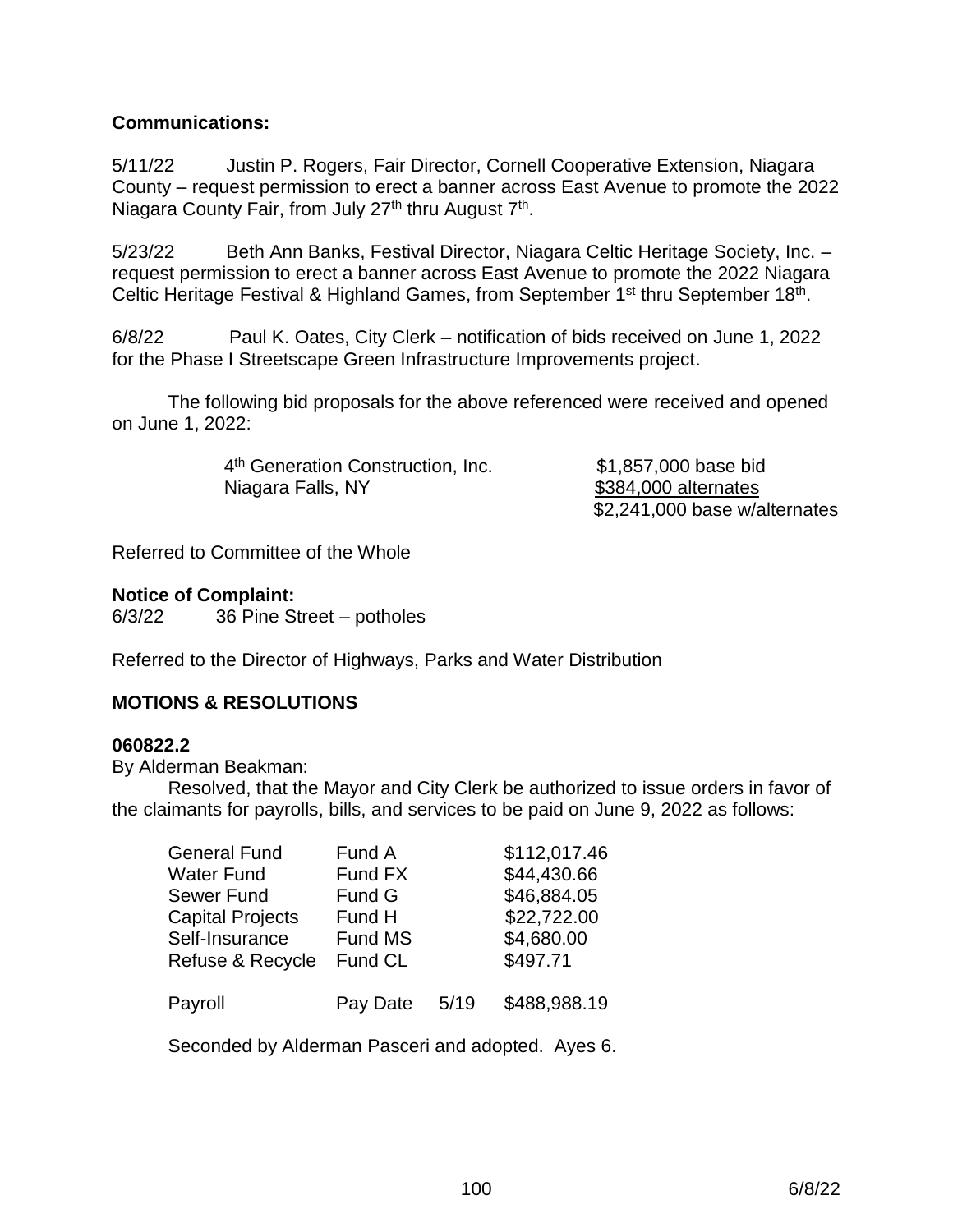# **Communications:**

5/11/22 Justin P. Rogers, Fair Director, Cornell Cooperative Extension, Niagara County – request permission to erect a banner across East Avenue to promote the 2022 Niagara County Fair, from July 27<sup>th</sup> thru August 7<sup>th</sup>.

5/23/22 Beth Ann Banks, Festival Director, Niagara Celtic Heritage Society, Inc. – request permission to erect a banner across East Avenue to promote the 2022 Niagara Celtic Heritage Festival & Highland Games, from September 1<sup>st</sup> thru September 18<sup>th</sup>.

6/8/22 Paul K. Oates, City Clerk – notification of bids received on June 1, 2022 for the Phase I Streetscape Green Infrastructure Improvements project.

The following bid proposals for the above referenced were received and opened on June 1, 2022:

> 4<sup>th</sup> Generation Construction, Inc. **\$1,857,000** base bid Niagara Falls, NY \$384,000 alternates

\$2,241,000 base w/alternates

Referred to Committee of the Whole

# **Notice of Complaint:**

6/3/22 36 Pine Street – potholes

Referred to the Director of Highways, Parks and Water Distribution

# **MOTIONS & RESOLUTIONS**

#### **060822.2**

By Alderman Beakman:

Resolved, that the Mayor and City Clerk be authorized to issue orders in favor of the claimants for payrolls, bills, and services to be paid on June 9, 2022 as follows:

| <b>General Fund</b>     | Fund A   |      | \$112,017.46 |
|-------------------------|----------|------|--------------|
| Water Fund              | Fund FX  |      | \$44,430.66  |
| <b>Sewer Fund</b>       | Fund G   |      | \$46,884.05  |
| <b>Capital Projects</b> | Fund H   |      | \$22,722.00  |
| Self-Insurance          | Fund MS  |      | \$4,680.00   |
| Refuse & Recycle        | Fund CL  |      | \$497.71     |
| Payroll                 | Pay Date | 5/19 | \$488,988.19 |

Seconded by Alderman Pasceri and adopted. Ayes 6.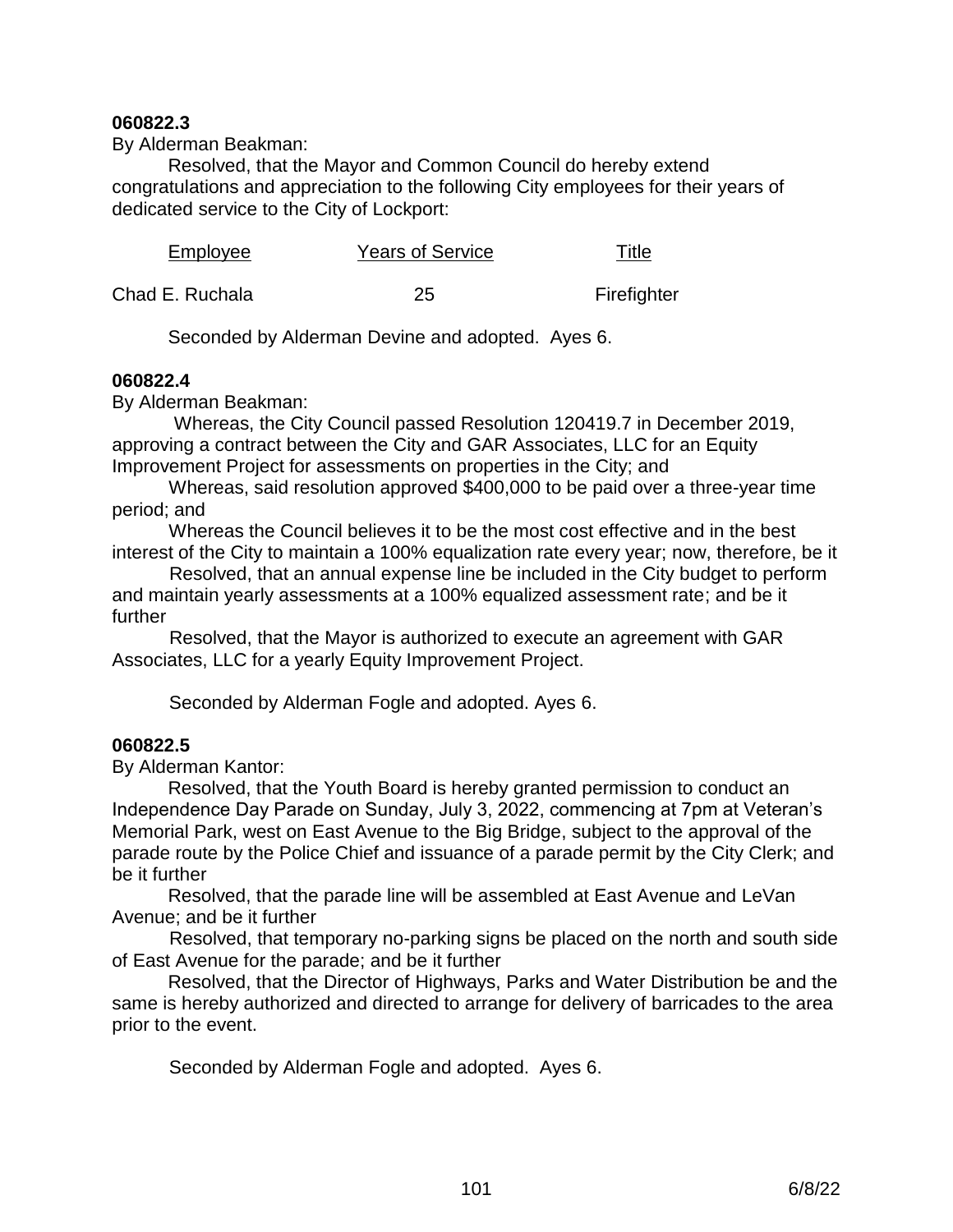## **060822.3**

By Alderman Beakman:

Resolved, that the Mayor and Common Council do hereby extend congratulations and appreciation to the following City employees for their years of dedicated service to the City of Lockport:

| <b>Years of Service</b><br>Employee | Title |
|-------------------------------------|-------|
|-------------------------------------|-------|

Chad E. Ruchala 25 Firefighter

Seconded by Alderman Devine and adopted. Ayes 6.

#### **060822.4**

By Alderman Beakman:

 Whereas, the City Council passed Resolution 120419.7 in December 2019, approving a contract between the City and GAR Associates, LLC for an Equity Improvement Project for assessments on properties in the City; and

 Whereas, said resolution approved \$400,000 to be paid over a three-year time period; and

 Whereas the Council believes it to be the most cost effective and in the best interest of the City to maintain a 100% equalization rate every year; now, therefore, be it

 Resolved, that an annual expense line be included in the City budget to perform and maintain yearly assessments at a 100% equalized assessment rate; and be it further

 Resolved, that the Mayor is authorized to execute an agreement with GAR Associates, LLC for a yearly Equity Improvement Project.

Seconded by Alderman Fogle and adopted. Ayes 6.

# **060822.5**

By Alderman Kantor:

Resolved, that the Youth Board is hereby granted permission to conduct an Independence Day Parade on Sunday, July 3, 2022, commencing at 7pm at Veteran's Memorial Park, west on East Avenue to the Big Bridge, subject to the approval of the parade route by the Police Chief and issuance of a parade permit by the City Clerk; and be it further

Resolved, that the parade line will be assembled at East Avenue and LeVan Avenue; and be it further

 Resolved, that temporary no-parking signs be placed on the north and south side of East Avenue for the parade; and be it further

Resolved, that the Director of Highways, Parks and Water Distribution be and the same is hereby authorized and directed to arrange for delivery of barricades to the area prior to the event.

Seconded by Alderman Fogle and adopted. Ayes 6.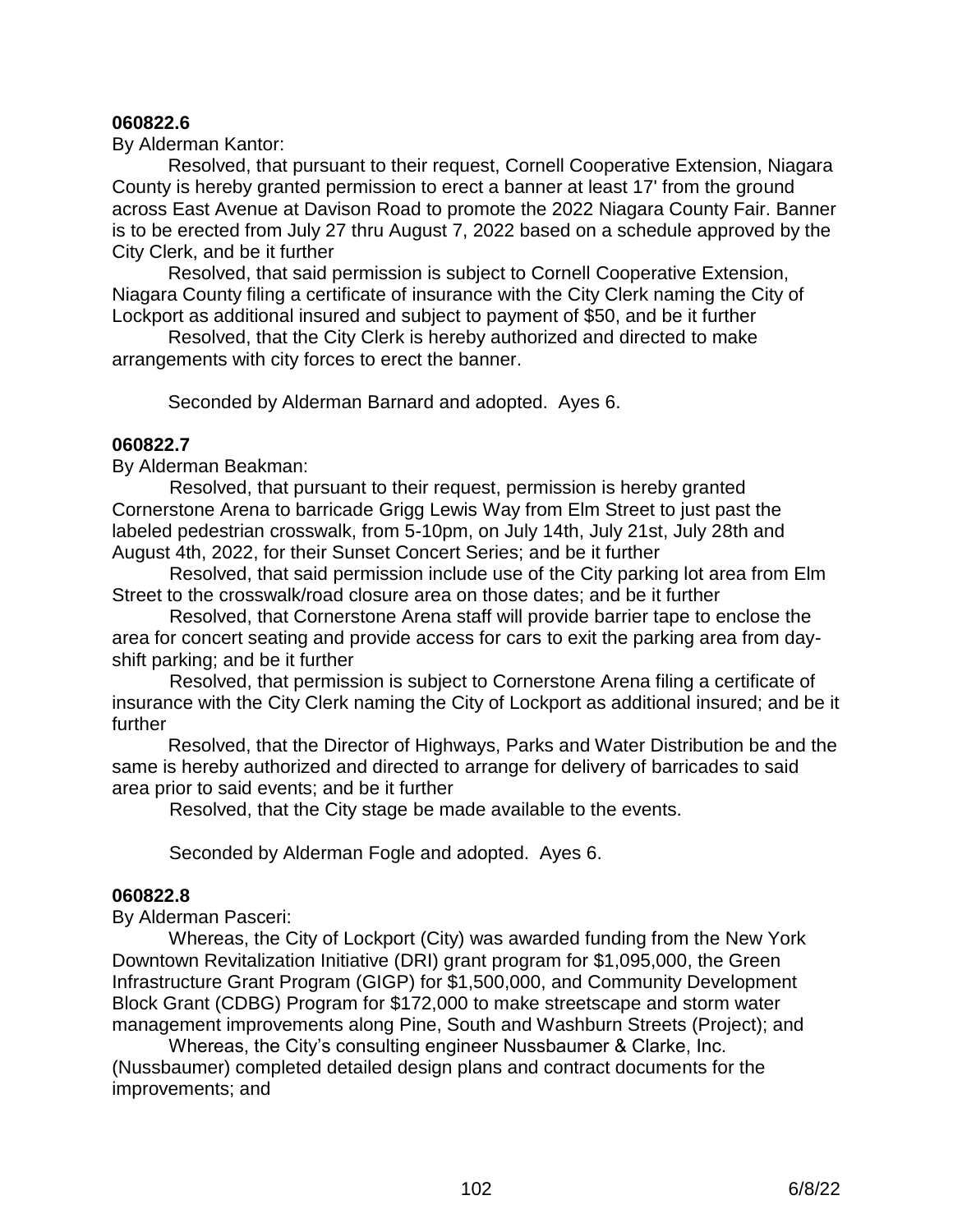#### **060822.6**

By Alderman Kantor:

Resolved, that pursuant to their request, Cornell Cooperative Extension, Niagara County is hereby granted permission to erect a banner at least 17' from the ground across East Avenue at Davison Road to promote the 2022 Niagara County Fair. Banner is to be erected from July 27 thru August 7, 2022 based on a schedule approved by the City Clerk, and be it further

Resolved, that said permission is subject to Cornell Cooperative Extension, Niagara County filing a certificate of insurance with the City Clerk naming the City of Lockport as additional insured and subject to payment of \$50, and be it further

Resolved, that the City Clerk is hereby authorized and directed to make arrangements with city forces to erect the banner.

Seconded by Alderman Barnard and adopted. Ayes 6.

### **060822.7**

By Alderman Beakman:

 Resolved, that pursuant to their request, permission is hereby granted Cornerstone Arena to barricade Grigg Lewis Way from Elm Street to just past the labeled pedestrian crosswalk, from 5-10pm, on July 14th, July 21st, July 28th and August 4th, 2022, for their Sunset Concert Series; and be it further

 Resolved, that said permission include use of the City parking lot area from Elm Street to the crosswalk/road closure area on those dates; and be it further

 Resolved, that Cornerstone Arena staff will provide barrier tape to enclose the area for concert seating and provide access for cars to exit the parking area from dayshift parking; and be it further

 Resolved, that permission is subject to Cornerstone Arena filing a certificate of insurance with the City Clerk naming the City of Lockport as additional insured; and be it further

Resolved, that the Director of Highways, Parks and Water Distribution be and the same is hereby authorized and directed to arrange for delivery of barricades to said area prior to said events; and be it further

Resolved, that the City stage be made available to the events.

Seconded by Alderman Fogle and adopted. Ayes 6.

#### **060822.8**

By Alderman Pasceri:

 Whereas, the City of Lockport (City) was awarded funding from the New York Downtown Revitalization Initiative (DRI) grant program for \$1,095,000, the Green Infrastructure Grant Program (GIGP) for \$1,500,000, and Community Development Block Grant (CDBG) Program for \$172,000 to make streetscape and storm water management improvements along Pine, South and Washburn Streets (Project); and

 Whereas, the City's consulting engineer Nussbaumer & Clarke, Inc. (Nussbaumer) completed detailed design plans and contract documents for the improvements; and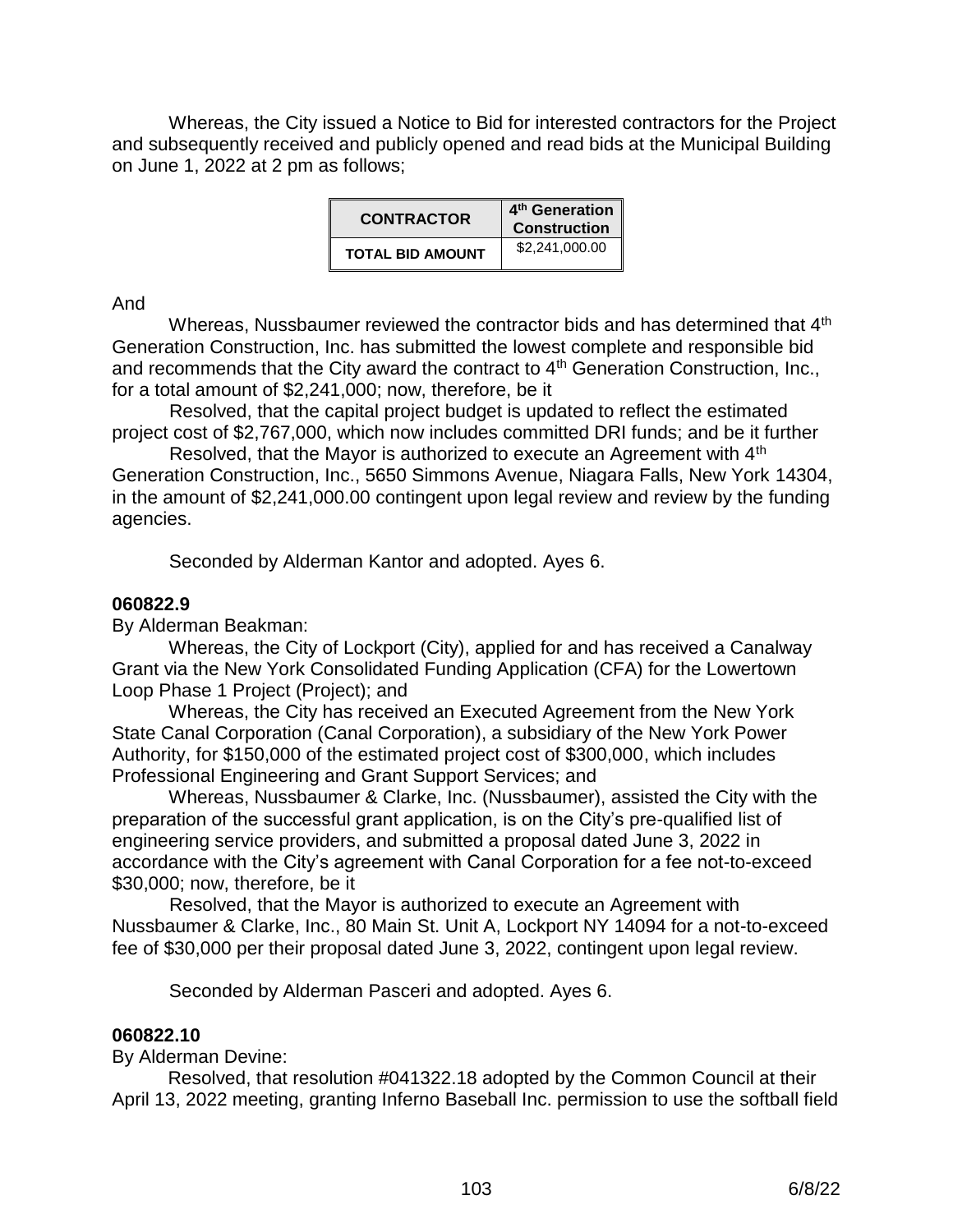Whereas, the City issued a Notice to Bid for interested contractors for the Project and subsequently received and publicly opened and read bids at the Municipal Building on June 1, 2022 at 2 pm as follows;

| <b>CONTRACTOR</b>       | 4 <sup>th</sup> Generation<br><b>Construction</b> |  |
|-------------------------|---------------------------------------------------|--|
| <b>TOTAL BID AMOUNT</b> | \$2,241,000.00                                    |  |

And

Whereas, Nussbaumer reviewed the contractor bids and has determined that 4<sup>th</sup> Generation Construction, Inc. has submitted the lowest complete and responsible bid and recommends that the City award the contract to 4<sup>th</sup> Generation Construction, Inc., for a total amount of \$2,241,000; now, therefore, be it

 Resolved, that the capital project budget is updated to reflect the estimated project cost of \$2,767,000, which now includes committed DRI funds; and be it further

Resolved, that the Mayor is authorized to execute an Agreement with 4<sup>th</sup> Generation Construction, Inc., 5650 Simmons Avenue, Niagara Falls, New York 14304, in the amount of \$2,241,000.00 contingent upon legal review and review by the funding agencies.

Seconded by Alderman Kantor and adopted. Ayes 6.

# **060822.9**

By Alderman Beakman:

 Whereas, the City of Lockport (City), applied for and has received a Canalway Grant via the New York Consolidated Funding Application (CFA) for the Lowertown Loop Phase 1 Project (Project); and

 Whereas, the City has received an Executed Agreement from the New York State Canal Corporation (Canal Corporation), a subsidiary of the New York Power Authority, for \$150,000 of the estimated project cost of \$300,000, which includes Professional Engineering and Grant Support Services; and

 Whereas, Nussbaumer & Clarke, Inc. (Nussbaumer), assisted the City with the preparation of the successful grant application, is on the City's pre-qualified list of engineering service providers, and submitted a proposal dated June 3, 2022 in accordance with the City's agreement with Canal Corporation for a fee not-to-exceed \$30,000; now, therefore, be it

 Resolved, that the Mayor is authorized to execute an Agreement with Nussbaumer & Clarke, Inc., 80 Main St. Unit A, Lockport NY 14094 for a not-to-exceed fee of \$30,000 per their proposal dated June 3, 2022, contingent upon legal review.

Seconded by Alderman Pasceri and adopted. Ayes 6.

# **060822.10**

By Alderman Devine:

Resolved, that resolution #041322.18 adopted by the Common Council at their April 13, 2022 meeting, granting Inferno Baseball Inc. permission to use the softball field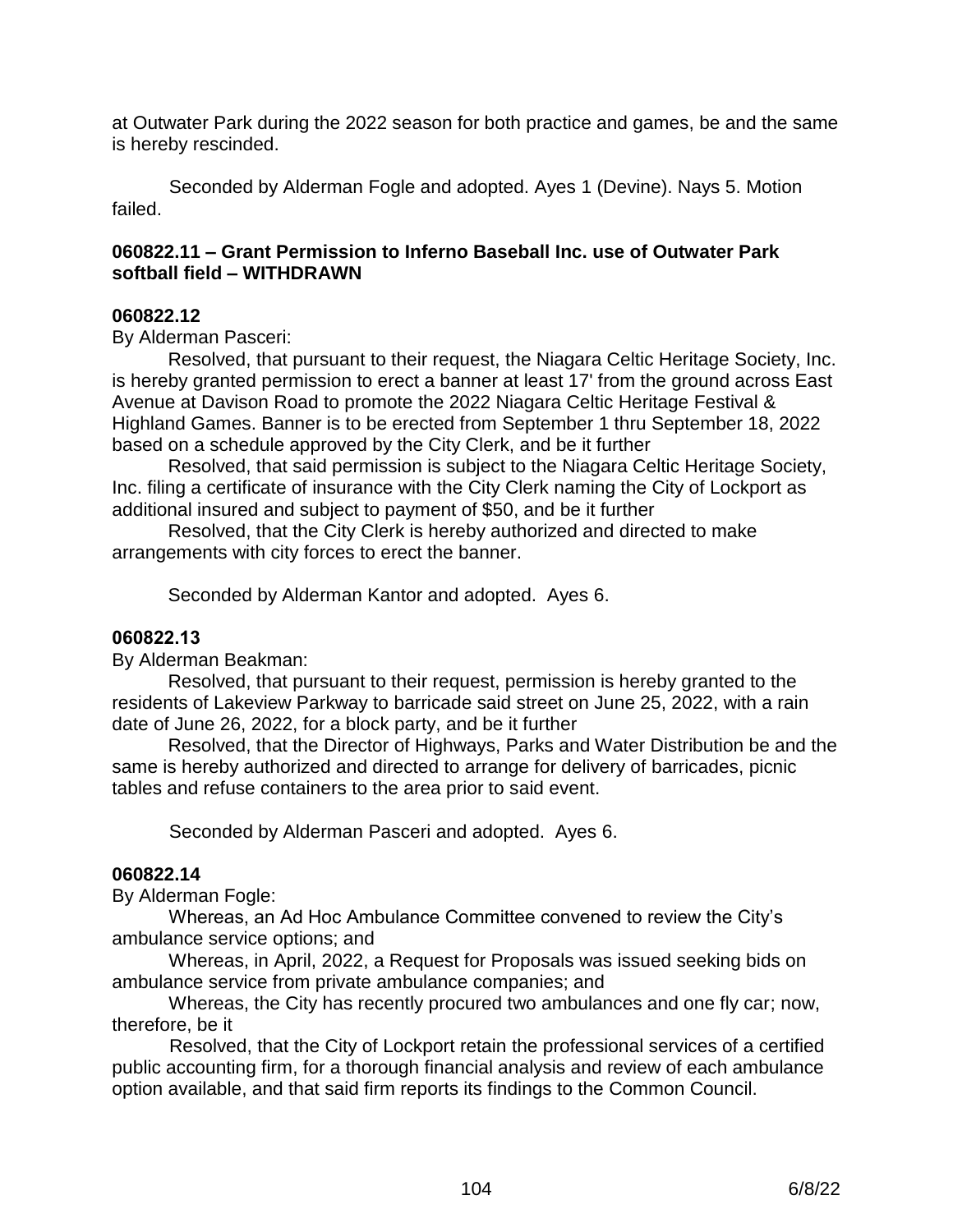at Outwater Park during the 2022 season for both practice and games, be and the same is hereby rescinded.

 Seconded by Alderman Fogle and adopted. Ayes 1 (Devine). Nays 5. Motion failed.

# **060822.11 – Grant Permission to Inferno Baseball Inc. use of Outwater Park softball field – WITHDRAWN**

### **060822.12**

By Alderman Pasceri:

Resolved, that pursuant to their request, the Niagara Celtic Heritage Society, Inc. is hereby granted permission to erect a banner at least 17' from the ground across East Avenue at Davison Road to promote the 2022 Niagara Celtic Heritage Festival & Highland Games. Banner is to be erected from September 1 thru September 18, 2022 based on a schedule approved by the City Clerk, and be it further

Resolved, that said permission is subject to the Niagara Celtic Heritage Society, Inc. filing a certificate of insurance with the City Clerk naming the City of Lockport as additional insured and subject to payment of \$50, and be it further

Resolved, that the City Clerk is hereby authorized and directed to make arrangements with city forces to erect the banner.

Seconded by Alderman Kantor and adopted. Ayes 6.

#### **060822.13**

By Alderman Beakman:

Resolved, that pursuant to their request, permission is hereby granted to the residents of Lakeview Parkway to barricade said street on June 25, 2022, with a rain date of June 26, 2022, for a block party, and be it further

Resolved, that the Director of Highways, Parks and Water Distribution be and the same is hereby authorized and directed to arrange for delivery of barricades, picnic tables and refuse containers to the area prior to said event.

Seconded by Alderman Pasceri and adopted. Ayes 6.

### **060822.14**

By Alderman Fogle:

 Whereas, an Ad Hoc Ambulance Committee convened to review the City's ambulance service options; and

 Whereas, in April, 2022, a Request for Proposals was issued seeking bids on ambulance service from private ambulance companies; and

 Whereas, the City has recently procured two ambulances and one fly car; now, therefore, be it

 Resolved, that the City of Lockport retain the professional services of a certified public accounting firm, for a thorough financial analysis and review of each ambulance option available, and that said firm reports its findings to the Common Council.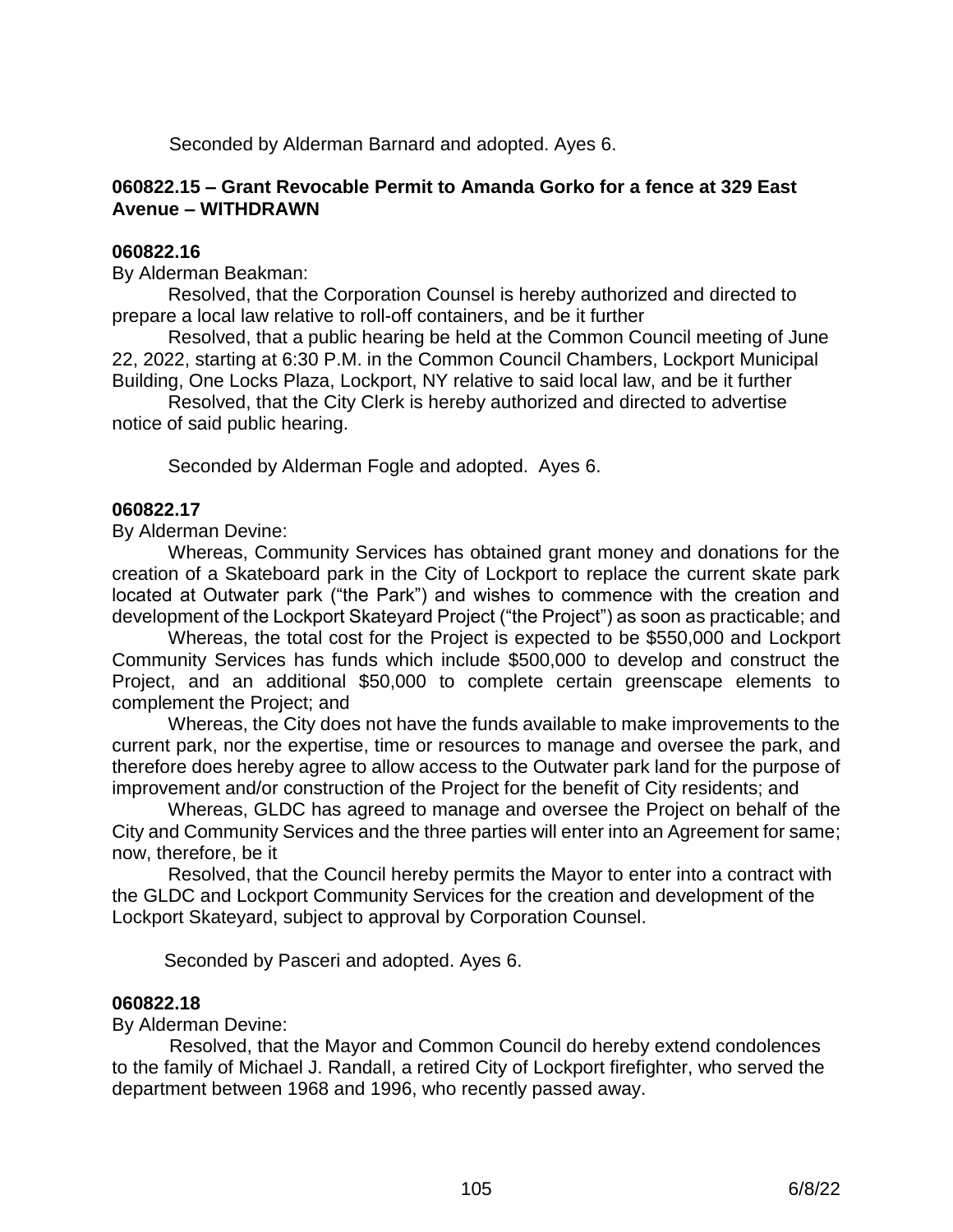Seconded by Alderman Barnard and adopted. Ayes 6.

## **060822.15 – Grant Revocable Permit to Amanda Gorko for a fence at 329 East Avenue – WITHDRAWN**

#### **060822.16**

By Alderman Beakman:

Resolved, that the Corporation Counsel is hereby authorized and directed to prepare a local law relative to roll-off containers, and be it further

Resolved, that a public hearing be held at the Common Council meeting of June 22, 2022, starting at 6:30 P.M. in the Common Council Chambers, Lockport Municipal Building, One Locks Plaza, Lockport, NY relative to said local law, and be it further

Resolved, that the City Clerk is hereby authorized and directed to advertise notice of said public hearing.

Seconded by Alderman Fogle and adopted. Ayes 6.

#### **060822.17**

By Alderman Devine:

Whereas, Community Services has obtained grant money and donations for the creation of a Skateboard park in the City of Lockport to replace the current skate park located at Outwater park ("the Park") and wishes to commence with the creation and development of the Lockport Skateyard Project ("the Project") as soon as practicable; and

Whereas, the total cost for the Project is expected to be \$550,000 and Lockport Community Services has funds which include \$500,000 to develop and construct the Project, and an additional \$50,000 to complete certain greenscape elements to complement the Project; and

Whereas, the City does not have the funds available to make improvements to the current park, nor the expertise, time or resources to manage and oversee the park, and therefore does hereby agree to allow access to the Outwater park land for the purpose of improvement and/or construction of the Project for the benefit of City residents; and

Whereas, GLDC has agreed to manage and oversee the Project on behalf of the City and Community Services and the three parties will enter into an Agreement for same; now, therefore, be it

Resolved, that the Council hereby permits the Mayor to enter into a contract with the GLDC and Lockport Community Services for the creation and development of the Lockport Skateyard, subject to approval by Corporation Counsel.

Seconded by Pasceri and adopted. Ayes 6.

#### **060822.18**

By Alderman Devine:

 Resolved, that the Mayor and Common Council do hereby extend condolences to the family of Michael J. Randall, a retired City of Lockport firefighter, who served the department between 1968 and 1996, who recently passed away.